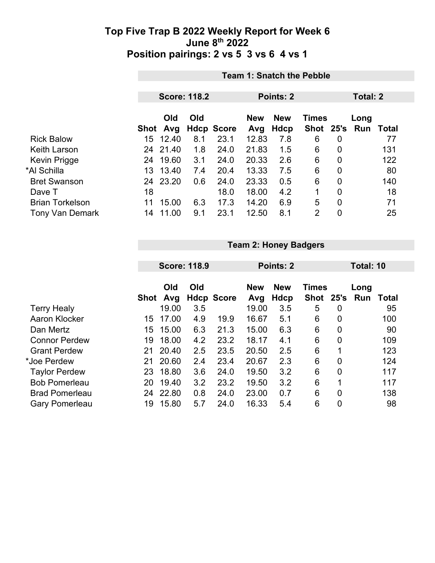|                        |      | <b>Team 1: Snatch the Pebble</b> |     |                   |                   |            |                           |                |     |          |  |
|------------------------|------|----------------------------------|-----|-------------------|-------------------|------------|---------------------------|----------------|-----|----------|--|
|                        |      |                                  |     |                   |                   |            |                           |                |     |          |  |
|                        |      | <b>Score: 118.2</b>              |     |                   |                   | Points: 2  |                           |                |     | Total: 2 |  |
|                        |      | Old<br>Old                       |     |                   |                   | <b>New</b> |                           | Long           |     |          |  |
|                        | Shot | Avg                              |     | <b>Hdcp Score</b> | <b>New</b><br>Avg | Hdcp       | <b>Times</b><br>Shot 25's |                | Run | Total    |  |
| <b>Rick Balow</b>      | 15   | 12.40                            | 8.1 | 23.1              | 12.83             | 7.8        | 6                         | 0              |     | 77       |  |
| <b>Keith Larson</b>    | 24   | 21.40                            | 1.8 | 24.0              | 21.83             | 1.5        | 6                         | 0              |     | 131      |  |
| Kevin Prigge           | 24   | 19.60                            | 3.1 | 24.0              | 20.33             | 2.6        | 6                         | $\overline{0}$ |     | 122      |  |
| *Al Schilla            |      | 13 13.40                         | 7.4 | 20.4              | 13.33             | 7.5        | 6                         | $\mathbf 0$    |     | 80       |  |
| <b>Bret Swanson</b>    | 24   | 23.20                            | 0.6 | 24.0              | 23.33             | 0.5        | 6                         | 0              |     | 140      |  |
| Dave T                 | 18   |                                  |     | 18.0              | 18.00             | 4.2        | 1                         | $\mathbf{0}$   |     | 18       |  |
| <b>Brian Torkelson</b> | 11   | 15.00                            | 6.3 | 17.3              | 14.20             | 6.9        | 5                         | $\overline{0}$ |     | 71       |  |
| <b>Tony Van Demark</b> | 14   | 11.00                            | 9.1 | 23.1              | 12.50             | 8.1        | $\overline{2}$            | 0              |     | 25       |  |

|                       |             | <b>Team 2: Honey Badgers</b> |     |                   |            |                            |           |                |             |           |  |
|-----------------------|-------------|------------------------------|-----|-------------------|------------|----------------------------|-----------|----------------|-------------|-----------|--|
|                       |             | <b>Score: 118.9</b>          |     |                   |            | Points: 2                  |           |                |             | Total: 10 |  |
|                       |             | Old<br>Old                   |     |                   | <b>New</b> | <b>Times</b><br><b>New</b> |           |                |             |           |  |
|                       | <b>Shot</b> | Avg                          |     | <b>Hdcp Score</b> | Avg        | Hdcp                       | Shot 25's |                | Long<br>Run | Total     |  |
| <b>Terry Healy</b>    |             | 19.00                        | 3.5 |                   | 19.00      | 3.5                        | 5         | 0              |             | 95        |  |
| Aaron Klocker         | 15          | 17.00                        | 4.9 | 19.9              | 16.67      | 5.1                        | 6         | 0              |             | 100       |  |
| Dan Mertz             | 15          | 15.00                        | 6.3 | 21.3              | 15.00      | 6.3                        | 6         | 0              |             | 90        |  |
| <b>Connor Perdew</b>  | 19          | 18.00                        | 4.2 | 23.2              | 18.17      | 4.1                        | 6         | 0              |             | 109       |  |
| <b>Grant Perdew</b>   | 21          | 20.40                        | 2.5 | 23.5              | 20.50      | 2.5                        | 6         |                |             | 123       |  |
| *Joe Perdew           | 21          | 20.60                        | 2.4 | 23.4              | 20.67      | 2.3                        | 6         | $\overline{0}$ |             | 124       |  |
| <b>Taylor Perdew</b>  | 23          | 18.80                        | 3.6 | 24.0              | 19.50      | 3.2                        | 6         | $\overline{0}$ |             | 117       |  |
| <b>Bob Pomerleau</b>  | 20          | 19.40                        | 3.2 | 23.2              | 19.50      | 3.2                        | 6         |                |             | 117       |  |
| <b>Brad Pomerleau</b> | 24          | 22.80                        | 0.8 | 24.0              | 23.00      | 0.7                        | 6         | $\overline{0}$ |             | 138       |  |
| <b>Gary Pomerleau</b> | 19          | 15.80                        | 5.7 | 24.0              | 16.33      | 5.4                        | 6         | 0              |             | 98        |  |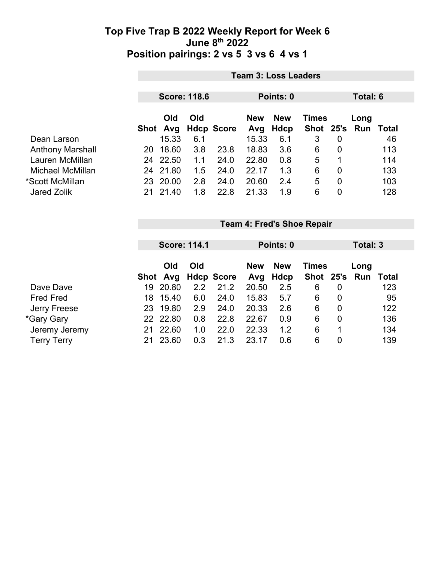|                         | <b>Team 3: Loss Leaders</b> |          |     |                                   |           |             |               |      |          |       |  |
|-------------------------|-----------------------------|----------|-----|-----------------------------------|-----------|-------------|---------------|------|----------|-------|--|
|                         | <b>Score: 118.6</b>         |          |     |                                   | Points: 0 |             |               |      | Total: 6 |       |  |
|                         | Old<br>Old                  |          |     | <b>New</b><br><b>New</b><br>Times |           |             |               | Long |          |       |  |
|                         |                             | Shot Avg |     | <b>Hdcp Score</b>                 | Avg       | <b>Hdcp</b> | Shot 25's Run |      |          | Total |  |
| Dean Larson             |                             | 15.33    | 6.1 |                                   | 15.33     | 6.1         | 3             | 0    |          | 46    |  |
| <b>Anthony Marshall</b> | 20                          | 18.60    | 3.8 | 23.8                              | 18.83     | 3.6         | 6             | 0    |          | 113   |  |
| Lauren McMillan         |                             | 24 22.50 | 1.1 | 24.0                              | 22.80     | 0.8         | 5             |      |          | 114   |  |
| Michael McMillan        |                             | 24 21.80 | 1.5 | 24.0                              | 22.17     | 1.3         | 6             | 0    |          | 133   |  |
| *Scott McMillan         | 23.                         | 20.00    | 2.8 | 24.0                              | 20.60     | 2.4         | 5             | 0    |          | 103   |  |
| <b>Jared Zolik</b>      | 21                          | 21.40    | 1.8 | 22.8                              | 21.33     | 1.9         | 6             | 0    |          | 128   |  |

|                    | <b>Score: 114.1</b> |          |     | Points: 0                                |       |      |               | Total: 3 |  |       |
|--------------------|---------------------|----------|-----|------------------------------------------|-------|------|---------------|----------|--|-------|
|                    | Old<br>Old          |          |     | <b>New</b><br><b>New</b><br><b>Times</b> |       |      |               | Long     |  |       |
|                    | Shot                | Avg      |     | <b>Hdcp Score</b>                        | Avg   | Hdcp | Shot 25's Run |          |  | Total |
| Dave Dave          | 19                  | 20.80    | 2.2 | 21.2                                     | 20.50 | 2.5  | 6             | 0        |  | 123   |
| <b>Fred Fred</b>   | 18                  | 15.40    | 6.0 | 24.0                                     | 15.83 | 5.7  | 6             | 0        |  | 95    |
| Jerry Freese       | 23                  | 19.80    | 2.9 | 24.0                                     | 20.33 | 2.6  | 6             | 0        |  | 122   |
| *Gary Gary         |                     | 22 22.80 | 0.8 | 22.8                                     | 22.67 | 0.9  | 6             | 0        |  | 136   |
| Jeremy Jeremy      | 21                  | 22.60    | 1.0 | 22.0                                     | 22.33 | 1.2  | 6             |          |  | 134   |
| <b>Terry Terry</b> |                     | 23.60    | 0.3 | 21.3                                     | 23.17 | 0.6  | 6             | 0        |  | 139   |

**Team 4: Fred's Shoe Repair**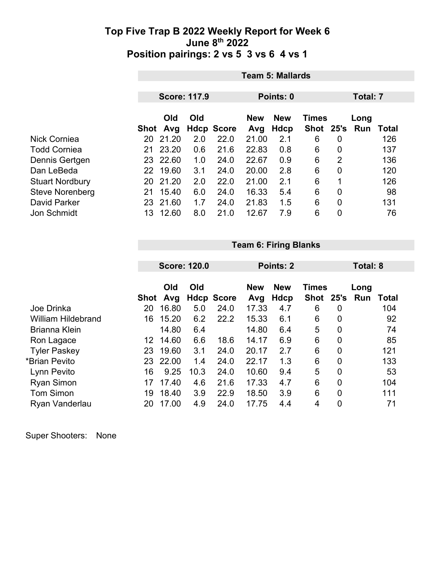|                        | <b>Team 5: Mallards</b> |           |     |                                          |       |             |             |                |     |              |  |
|------------------------|-------------------------|-----------|-----|------------------------------------------|-------|-------------|-------------|----------------|-----|--------------|--|
|                        |                         | Points: 0 |     |                                          |       |             |             |                |     |              |  |
|                        | <b>Score: 117.9</b>     |           |     |                                          |       |             | Total: 7    |                |     |              |  |
|                        | Old<br>Old              |           |     | <b>New</b><br><b>Times</b><br><b>New</b> |       |             |             | Long           |     |              |  |
|                        | Shot                    | Avg       |     | <b>Hdcp Score</b>                        | Avg   | <b>Hdcp</b> | <b>Shot</b> | 25's           | Run | <b>Total</b> |  |
| <b>Nick Corniea</b>    | 20                      | 21.20     | 2.0 | 22.0                                     | 21.00 | 2.1         | 6           | 0              |     | 126          |  |
| <b>Todd Corniea</b>    | 21                      | 23.20     | 0.6 | 21.6                                     | 22.83 | 0.8         | 6           | 0              |     | 137          |  |
| Dennis Gertgen         | 23                      | 22.60     | 1.0 | 24.0                                     | 22.67 | 0.9         | 6           | 2              |     | 136          |  |
| Dan LeBeda             | 22                      | 19.60     | 3.1 | 24.0                                     | 20.00 | 2.8         | 6           | $\overline{0}$ |     | 120          |  |
| <b>Stuart Nordbury</b> | 20                      | 21.20     | 2.0 | 22.0                                     | 21.00 | 2.1         | 6           | $\mathbf 1$    |     | 126          |  |
| <b>Steve Norenberg</b> | 21                      | 15.40     | 6.0 | 24.0                                     | 16.33 | 5.4         | 6           | 0              |     | 98           |  |
| David Parker           | 23                      | 21.60     | 1.7 | 24.0                                     | 21.83 | 1.5         | 6           | 0              |     | 131          |  |
| <b>Jon Schmidt</b>     | 13                      | 12.60     | 8.0 | 21.0                                     | 12.67 | 7.9         | 6           | 0              |     | 76           |  |

|                           |      | <b>Team 6: Firing Blanks</b> |      |                   |            |            |              |                |                 |              |  |
|---------------------------|------|------------------------------|------|-------------------|------------|------------|--------------|----------------|-----------------|--------------|--|
|                           |      |                              |      |                   |            |            |              |                | <b>Total: 8</b> |              |  |
|                           |      | <b>Score: 120.0</b>          |      |                   | Points: 2  |            |              |                |                 |              |  |
|                           |      | Old                          | Old  |                   | <b>New</b> | <b>New</b> | <b>Times</b> |                | Long            |              |  |
|                           | Shot | Avg                          |      | <b>Hdcp Score</b> | Avg        | Hdcp       | Shot 25's    |                | Run             | <b>Total</b> |  |
| Joe Drinka                | 20   | 16.80                        | 5.0  | 24.0              | 17.33      | 4.7        | 6            | 0              |                 | 104          |  |
| <b>William Hildebrand</b> | 16   | 15.20                        | 6.2  | 22.2              | 15.33      | 6.1        | 6            | 0              |                 | 92           |  |
| <b>Brianna Klein</b>      |      | 14.80                        | 6.4  |                   | 14.80      | 6.4        | 5            | 0              |                 | 74           |  |
| Ron Lagace                | 12   | 14.60                        | 6.6  | 18.6              | 14.17      | 6.9        | 6            | $\overline{0}$ |                 | 85           |  |
| <b>Tyler Paskey</b>       | 23   | 19.60                        | 3.1  | 24.0              | 20.17      | 2.7        | 6            | 0              |                 | 121          |  |
| *Brian Pevito             | 23   | 22.00                        | 1.4  | 24.0              | 22.17      | 1.3        | 6            | 0              |                 | 133          |  |
| Lynn Pevito               | 16   | 9.25                         | 10.3 | 24.0              | 10.60      | 9.4        | 5            | $\overline{0}$ |                 | 53           |  |
| <b>Ryan Simon</b>         | 17   | 17.40                        | 4.6  | 21.6              | 17.33      | 4.7        | 6            | 0              |                 | 104          |  |
| <b>Tom Simon</b>          | 19   | 18.40                        | 3.9  | 22.9              | 18.50      | 3.9        | 6            | 0              |                 | 111          |  |
| Ryan Vanderlau            | 20   | 17.00                        | 4.9  | 24.0              | 17.75      | 4.4        | 4            | 0              |                 | 71           |  |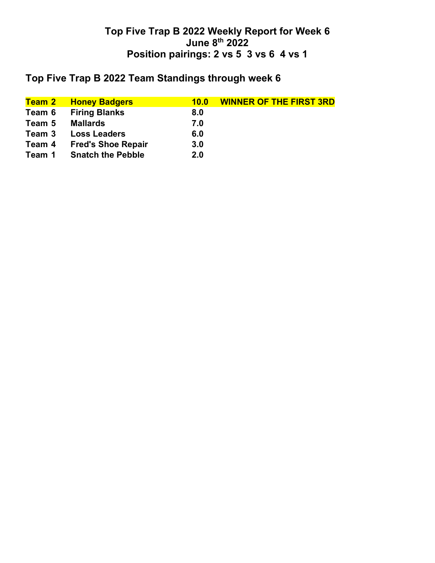# **Top Five Trap B 2022 Team Standings through week 6**

| <mark>Team 2</mark> | <b>Honey Badgers</b>      | 10.0 | <b>WINNER OF THE FIRST 3RD</b> |
|---------------------|---------------------------|------|--------------------------------|
| Team 6              | <b>Firing Blanks</b>      | 8.0  |                                |
| Team 5              | <b>Mallards</b>           | 7.0  |                                |
| Team 3              | <b>Loss Leaders</b>       | 6.0  |                                |
| Team 4              | <b>Fred's Shoe Repair</b> | 3.0  |                                |
| Team 1              | <b>Snatch the Pebble</b>  | 2.0  |                                |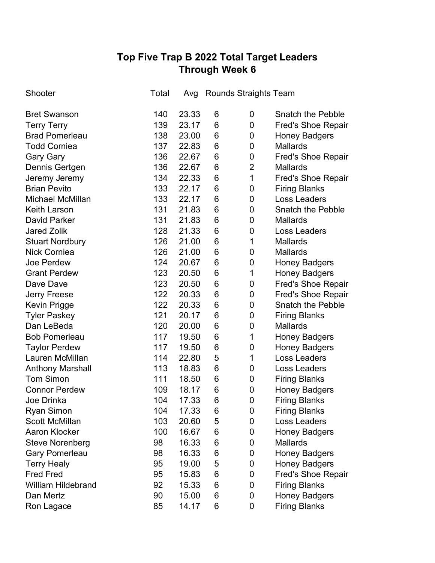# **Top Five Trap B 2022 Total Target Leaders Through Week 6**

| Shooter                   | Total | Avg   | <b>Rounds Straights Team</b> |                |                           |
|---------------------------|-------|-------|------------------------------|----------------|---------------------------|
| <b>Bret Swanson</b>       | 140   | 23.33 | 6                            | 0              | <b>Snatch the Pebble</b>  |
| <b>Terry Terry</b>        | 139   | 23.17 | 6                            | 0              | <b>Fred's Shoe Repair</b> |
| <b>Brad Pomerleau</b>     | 138   | 23.00 | 6                            | 0              | <b>Honey Badgers</b>      |
| <b>Todd Corniea</b>       | 137   | 22.83 | 6                            | 0              | <b>Mallards</b>           |
| <b>Gary Gary</b>          | 136   | 22.67 | 6                            | 0              | <b>Fred's Shoe Repair</b> |
| Dennis Gertgen            | 136   | 22.67 | 6                            | $\overline{2}$ | <b>Mallards</b>           |
| Jeremy Jeremy             | 134   | 22.33 | 6                            | $\mathbf{1}$   | <b>Fred's Shoe Repair</b> |
| <b>Brian Pevito</b>       | 133   | 22.17 | 6                            | 0              | <b>Firing Blanks</b>      |
| Michael McMillan          | 133   | 22.17 | 6                            | 0              | <b>Loss Leaders</b>       |
| <b>Keith Larson</b>       | 131   | 21.83 | 6                            | 0              | <b>Snatch the Pebble</b>  |
| <b>David Parker</b>       | 131   | 21.83 | 6                            | 0              | <b>Mallards</b>           |
| <b>Jared Zolik</b>        | 128   | 21.33 | 6                            | 0              | <b>Loss Leaders</b>       |
| <b>Stuart Nordbury</b>    | 126   | 21.00 | 6                            | 1              | <b>Mallards</b>           |
| <b>Nick Corniea</b>       | 126   | 21.00 | 6                            | 0              | <b>Mallards</b>           |
| Joe Perdew                | 124   | 20.67 | 6                            | 0              | <b>Honey Badgers</b>      |
| <b>Grant Perdew</b>       | 123   | 20.50 | 6                            | 1              | <b>Honey Badgers</b>      |
| Dave Dave                 | 123   | 20.50 | 6                            | 0              | <b>Fred's Shoe Repair</b> |
| <b>Jerry Freese</b>       | 122   | 20.33 | 6                            | 0              | <b>Fred's Shoe Repair</b> |
| <b>Kevin Prigge</b>       | 122   | 20.33 | 6                            | 0              | <b>Snatch the Pebble</b>  |
| <b>Tyler Paskey</b>       | 121   | 20.17 | 6                            | 0              | <b>Firing Blanks</b>      |
| Dan LeBeda                | 120   | 20.00 | 6                            | 0              | <b>Mallards</b>           |
| <b>Bob Pomerleau</b>      | 117   | 19.50 | 6                            | $\mathbf 1$    | <b>Honey Badgers</b>      |
| <b>Taylor Perdew</b>      | 117   | 19.50 | 6                            | 0              | <b>Honey Badgers</b>      |
| Lauren McMillan           | 114   | 22.80 | 5                            | 1              | Loss Leaders              |
| <b>Anthony Marshall</b>   | 113   | 18.83 | 6                            | 0              | <b>Loss Leaders</b>       |
| <b>Tom Simon</b>          | 111   | 18.50 | 6                            | 0              | <b>Firing Blanks</b>      |
| <b>Connor Perdew</b>      | 109   | 18.17 | 6                            | 0              | <b>Honey Badgers</b>      |
| Joe Drinka                | 104   | 17.33 | 6                            | 0              | <b>Firing Blanks</b>      |
| <b>Ryan Simon</b>         | 104   | 17.33 | 6                            | 0              | <b>Firing Blanks</b>      |
| <b>Scott McMillan</b>     | 103   | 20.60 | 5                            | 0              | Loss Leaders              |
| <b>Aaron Klocker</b>      | 100   | 16.67 | 6                            | 0              | <b>Honey Badgers</b>      |
| <b>Steve Norenberg</b>    | 98    | 16.33 | 6                            | 0              | <b>Mallards</b>           |
| <b>Gary Pomerleau</b>     | 98    | 16.33 | 6                            | 0              | <b>Honey Badgers</b>      |
| <b>Terry Healy</b>        | 95    | 19.00 | 5                            | 0              | <b>Honey Badgers</b>      |
| <b>Fred Fred</b>          | 95    | 15.83 | 6                            | 0              | <b>Fred's Shoe Repair</b> |
| <b>William Hildebrand</b> | 92    | 15.33 | 6                            | 0              | <b>Firing Blanks</b>      |
| Dan Mertz                 | 90    | 15.00 | 6                            | 0              | <b>Honey Badgers</b>      |
| Ron Lagace                | 85    | 14.17 | 6                            | 0              | <b>Firing Blanks</b>      |